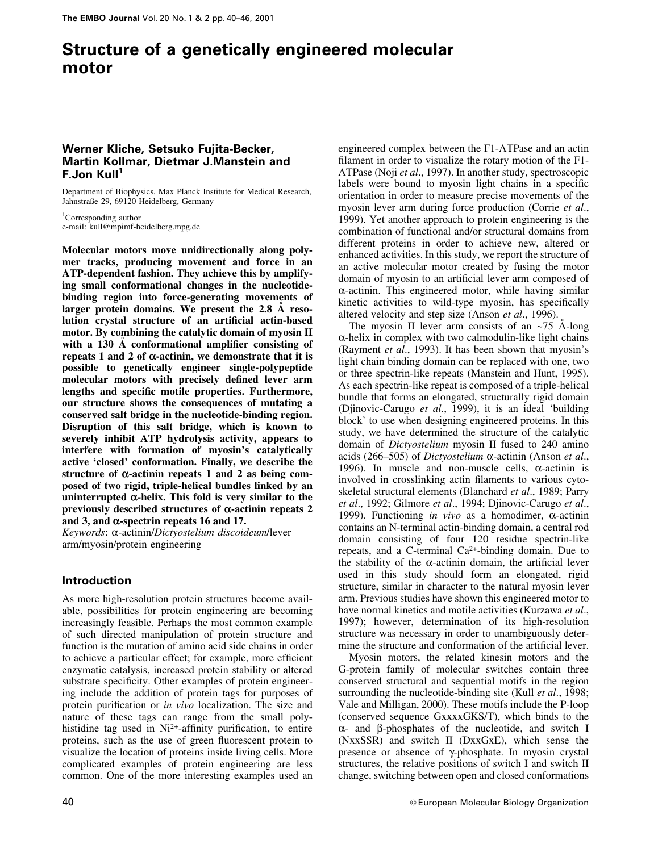# Structure of a genetically engineered molecular motor

# Werner Kliche, Setsuko Fujita-Becker, Martin Kollmar, Dietmar J.Manstein and F.Jon Kull<sup>1</sup>

Department of Biophysics, Max Planck Institute for Medical Research, Jahnstraûe 29, 69120 Heidelberg, Germany

<sup>1</sup>Corresponding author e-mail: kull@mpimf-heidelberg.mpg.de

Molecular motors move unidirectionally along polymer tracks, producing movement and force in an ATP-dependent fashion. They achieve this by amplifying small conformational changes in the nucleotidebinding region into force-generating movements of larger protein domains. We present the  $2.8\text{ Å}$  resolution crystal structure of an artificial actin-based motor. By combining the catalytic domain of myosin II with a  $130$  Å conformational amplifier consisting of repeats 1 and 2 of  $\alpha$ -actinin, we demonstrate that it is possible to genetically engineer single-polypeptide molecular motors with precisely defined lever arm lengths and specific motile properties. Furthermore, our structure shows the consequences of mutating a conserved salt bridge in the nucleotide-binding region. Disruption of this salt bridge, which is known to severely inhibit ATP hydrolysis activity, appears to interfere with formation of myosin's catalytically active `closed' conformation. Finally, we describe the structure of  $\alpha$ -actinin repeats 1 and 2 as being composed of two rigid, triple-helical bundles linked by an uninterrupted  $\alpha$ -helix. This fold is very similar to the previously described structures of  $\alpha$ -actinin repeats 2 and 3, and  $\alpha$ -spectrin repeats 16 and 17.

Keywords: a-actinin/Dictyostelium discoideum/lever arm/myosin/protein engineering

# Introduction

As more high-resolution protein structures become available, possibilities for protein engineering are becoming increasingly feasible. Perhaps the most common example of such directed manipulation of protein structure and function is the mutation of amino acid side chains in order to achieve a particular effect; for example, more efficient enzymatic catalysis, increased protein stability or altered substrate specificity. Other examples of protein engineering include the addition of protein tags for purposes of protein purification or in vivo localization. The size and nature of these tags can range from the small polyhistidine tag used in  $Ni<sup>2+</sup>$ -affinity purification, to entire proteins, such as the use of green fluorescent protein to visualize the location of proteins inside living cells. More complicated examples of protein engineering are less common. One of the more interesting examples used an

engineered complex between the F1-ATPase and an actin filament in order to visualize the rotary motion of the F1-ATPase (Noji et al., 1997). In another study, spectroscopic labels were bound to myosin light chains in a specific orientation in order to measure precise movements of the myosin lever arm during force production (Corrie et al., 1999). Yet another approach to protein engineering is the combination of functional and/or structural domains from different proteins in order to achieve new, altered or enhanced activities. In this study, we report the structure of an active molecular motor created by fusing the motor domain of myosin to an artificial lever arm composed of  $\alpha$ -actinin. This engineered motor, while having similar kinetic activities to wild-type myosin, has specifically altered velocity and step size (Anson et al., 1996).

The myosin II lever arm consists of an  $\sim$ 75 A<sup>-long</sup>  $\alpha$ -helix in complex with two calmodulin-like light chains (Rayment et al., 1993). It has been shown that myosin's light chain binding domain can be replaced with one, two or three spectrin-like repeats (Manstein and Hunt, 1995). As each spectrin-like repeat is composed of a triple-helical bundle that forms an elongated, structurally rigid domain (Djinovic-Carugo et al., 1999), it is an ideal 'building block' to use when designing engineered proteins. In this study, we have determined the structure of the catalytic domain of Dictyostelium myosin II fused to 240 amino acids (266–505) of *Dictyostelium*  $\alpha$ -actinin (Anson *et al.*, 1996). In muscle and non-muscle cells,  $\alpha$ -actinin is involved in crosslinking actin filaments to various cytoskeletal structural elements (Blanchard et al., 1989; Parry et al., 1992; Gilmore et al., 1994; Djinovic-Carugo et al., 1999). Functioning in vivo as a homodimer,  $\alpha$ -actinin contains an N-terminal actin-binding domain, a central rod domain consisting of four 120 residue spectrin-like repeats, and a C-terminal  $Ca^{2+}$ -binding domain. Due to the stability of the  $\alpha$ -actinin domain, the artificial lever used in this study should form an elongated, rigid structure, similar in character to the natural myosin lever arm. Previous studies have shown this engineered motor to have normal kinetics and motile activities (Kurzawa et al., 1997); however, determination of its high-resolution structure was necessary in order to unambiguously determine the structure and conformation of the artificial lever.

Myosin motors, the related kinesin motors and the G-protein family of molecular switches contain three conserved structural and sequential motifs in the region surrounding the nucleotide-binding site (Kull *et al.*, 1998; Vale and Milligan, 2000). These motifs include the P-loop (conserved sequence GxxxxGKS/T), which binds to the  $\alpha$ - and  $\beta$ -phosphates of the nucleotide, and switch I (NxxSSR) and switch II (DxxGxE), which sense the presence or absence of  $\gamma$ -phosphate. In myosin crystal structures, the relative positions of switch I and switch II change, switching between open and closed conformations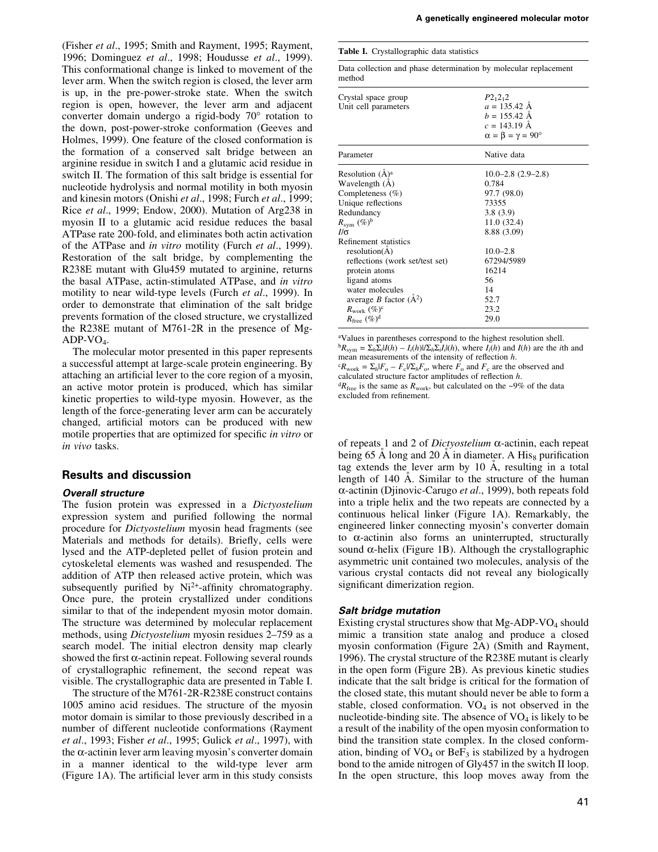(Fisher et al., 1995; Smith and Rayment, 1995; Rayment, 1996; Dominguez et al., 1998; Houdusse et al., 1999). This conformational change is linked to movement of the lever arm. When the switch region is closed, the lever arm is up, in the pre-power-stroke state. When the switch region is open, however, the lever arm and adjacent converter domain undergo a rigid-body 70° rotation to the down, post-power-stroke conformation (Geeves and Holmes, 1999). One feature of the closed conformation is the formation of a conserved salt bridge between an arginine residue in switch I and a glutamic acid residue in switch II. The formation of this salt bridge is essential for nucleotide hydrolysis and normal motility in both myosin and kinesin motors (Onishi et al., 1998; Furch et al., 1999; Rice et al., 1999; Endow, 2000). Mutation of Arg238 in myosin II to a glutamic acid residue reduces the basal ATPase rate 200-fold, and eliminates both actin activation of the ATPase and in vitro motility (Furch et al., 1999). Restoration of the salt bridge, by complementing the R238E mutant with Glu459 mutated to arginine, returns the basal ATPase, actin-stimulated ATPase, and in vitro motility to near wild-type levels (Furch et al., 1999). In order to demonstrate that elimination of the salt bridge prevents formation of the closed structure, we crystallized the R238E mutant of M761-2R in the presence of Mg- $ADP-VO<sub>4</sub>$ .

The molecular motor presented in this paper represents a successful attempt at large-scale protein engineering. By attaching an artificial lever to the core region of a myosin, an active motor protein is produced, which has similar kinetic properties to wild-type myosin. However, as the length of the force-generating lever arm can be accurately changed, artificial motors can be produced with new motile properties that are optimized for specific in vitro or in vivo tasks.

#### Results and discussion

#### Overall structure

The fusion protein was expressed in a Dictyostelium expression system and purified following the normal procedure for Dictyostelium myosin head fragments (see Materials and methods for details). Briefly, cells were lysed and the ATP-depleted pellet of fusion protein and cytoskeletal elements was washed and resuspended. The addition of ATP then released active protein, which was subsequently purified by  $Ni^{2+}$ -affinity chromatography. Once pure, the protein crystallized under conditions similar to that of the independent myosin motor domain. The structure was determined by molecular replacement methods, using *Dictyostelium* myosin residues 2–759 as a search model. The initial electron density map clearly showed the first  $\alpha$ -actinin repeat. Following several rounds of crystallographic refinement, the second repeat was visible. The crystallographic data are presented in Table I.

The structure of the M761-2R-R238E construct contains 1005 amino acid residues. The structure of the myosin motor domain is similar to those previously described in a number of different nucleotide conformations (Rayment et al., 1993; Fisher et al., 1995; Gulick et al., 1997), with the  $\alpha$ -actinin lever arm leaving myosin's converter domain in a manner identical to the wild-type lever arm (Figure 1A). The artificial lever arm in this study consists

|  |  | Table I. Crystallographic data statistics |  |
|--|--|-------------------------------------------|--|
|--|--|-------------------------------------------|--|

Data collection and phase determination by molecular replacement method

| Crystal space group<br>Unit cell parameters                                                                                                                                                                                                                                                                                                       | $P2_12_12$<br>$a = 135.42$ A<br>$b = 155.42$ A<br>$c = 143.19 \text{ Å}$<br>$\alpha = \beta = \gamma = 90^{\circ}$                                                      |
|---------------------------------------------------------------------------------------------------------------------------------------------------------------------------------------------------------------------------------------------------------------------------------------------------------------------------------------------------|-------------------------------------------------------------------------------------------------------------------------------------------------------------------------|
| Parameter                                                                                                                                                                                                                                                                                                                                         | Native data                                                                                                                                                             |
| Resolution $(\AA)^a$<br>Wavelength (A)<br>Completeness (%)<br>Unique reflections<br>Redundancy<br>$R_{\rm sym}$ (%) <sup>b</sup><br>I/σ<br>Refinement statistics<br>resolution(A)<br>reflections (work set/test set)<br>protein atoms<br>ligand atoms<br>water molecules<br>average <i>B</i> factor $(A^2)$<br>$R_{\text{work}}$ (%) <sup>c</sup> | $10.0 - 2.8$ $(2.9 - 2.8)$<br>0.784<br>97.7 (98.0)<br>73355<br>3.8(3.9)<br>11.0(32.4)<br>8.88 (3.09)<br>$10.0 - 2.8$<br>67294/5989<br>16214<br>56<br>14<br>52.7<br>23.2 |
| $R_{\text{free}}$ (%) <sup>d</sup>                                                                                                                                                                                                                                                                                                                | 29.0                                                                                                                                                                    |
|                                                                                                                                                                                                                                                                                                                                                   |                                                                                                                                                                         |

a Values in parentheses correspond to the highest resolution shell.  ${}^{b}R_{sym} = \sum_{h} \sum_{i} |I(h) - I_i(h)| / \sum_{h} \sum_{i} I_i(h)$ , where  $I_i(h)$  and  $I(h)$  are the *i*th and mean measurements of the intensity of reflection  $h$ .  ${}^cR_{\text{work}} = \sum_h |F_o - F_c| / \sum_h F_o$ , where  $F_o$  and  $F_c$  are the observed and calculated structure factor amplitudes of reflection  $h$ .  ${}^{d}R_{\text{free}}$  is the same as  $R_{\text{work}}$ , but calculated on the ~9% of the data excluded from refinement.

of repeats 1 and 2 of *Dictyostelium*  $\alpha$ -actinin, each repeat being 65  $\AA$  long and 20  $\AA$  in diameter. A His<sub>8</sub> purification tag extends the lever arm by  $10 \text{ Å}$ , resulting in a total length of 140 Å. Similar to the structure of the human  $\alpha$ -actinin (Djinovic-Carugo et al., 1999), both repeats fold into a triple helix and the two repeats are connected by a continuous helical linker (Figure 1A). Remarkably, the engineered linker connecting myosin's converter domain to  $\alpha$ -actinin also forms an uninterrupted, structurally sound  $\alpha$ -helix (Figure 1B). Although the crystallographic asymmetric unit contained two molecules, analysis of the various crystal contacts did not reveal any biologically significant dimerization region.

#### Salt bridge mutation

Existing crystal structures show that  $Mg$ -ADP-VO<sub>4</sub> should mimic a transition state analog and produce a closed myosin conformation (Figure 2A) (Smith and Rayment, 1996). The crystal structure of the R238E mutant is clearly in the open form (Figure 2B). As previous kinetic studies indicate that the salt bridge is critical for the formation of the closed state, this mutant should never be able to form a stable, closed conformation.  $VO<sub>4</sub>$  is not observed in the nucleotide-binding site. The absence of  $VO<sub>4</sub>$  is likely to be a result of the inability of the open myosin conformation to bind the transition state complex. In the closed conformation, binding of  $VO<sub>4</sub>$  or  $BeF<sub>3</sub>$  is stabilized by a hydrogen bond to the amide nitrogen of Gly457 in the switch II loop. In the open structure, this loop moves away from the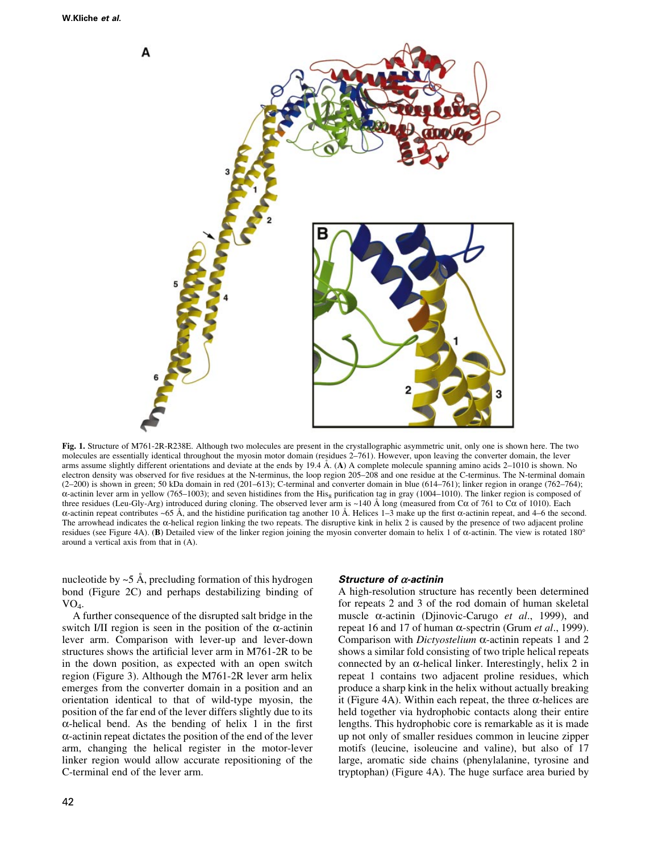



Fig. 1. Structure of M761-2R-R238E. Although two molecules are present in the crystallographic asymmetric unit, only one is shown here. The two molecules are essentially identical throughout the myosin motor domain (residues 2-761). However, upon leaving the converter domain, the lever arms assume slightly different orientations and deviate at the ends by  $19.4 \text{ Å}$ . (A) A complete molecule spanning amino acids 2–1010 is shown. No electron density was observed for five residues at the N-terminus, the loop region 205-208 and one residue at the C-terminus. The N-terminal domain  $(2-200)$  is shown in green; 50 kDa domain in red  $(201-613)$ ; C-terminal and converter domain in blue (614-761); linker region in orange (762-764);  $\alpha$ -actinin lever arm in yellow (765–1003); and seven histidines from the His<sub>8</sub> purification tag in gray (1004–1010). The linker region is composed of three residues (Leu-Gly-Arg) introduced during cloning. The observed lever arm is ~140 Å long (measured from  $C\alpha$  of 761 to  $C\alpha$  of 1010). Each  $\alpha$ -actinin repeat contributes ~65 Å, and the histidine purification tag another 10 Å. Helices 1–3 make up the first  $\alpha$ -actinin repeat, and 4–6 the second. The arrowhead indicates the  $\alpha$ -helical region linking the two repeats. The disruptive kink in helix 2 is caused by the presence of two adjacent proline residues (see Figure 4A). (B) Detailed view of the linker region joining the myosin converter domain to helix 1 of  $\alpha$ -actinin. The view is rotated 180° around a vertical axis from that in (A).

nucleotide by  $\sim$  5 Å, precluding formation of this hydrogen bond (Figure 2C) and perhaps destabilizing binding of  $VO<sub>4</sub>$ .

A further consequence of the disrupted salt bridge in the switch I/II region is seen in the position of the  $\alpha$ -actinin lever arm. Comparison with lever-up and lever-down structures shows the artificial lever arm in M761-2R to be in the down position, as expected with an open switch region (Figure 3). Although the M761-2R lever arm helix emerges from the converter domain in a position and an orientation identical to that of wild-type myosin, the position of the far end of the lever differs slightly due to its  $\alpha$ -helical bend. As the bending of helix 1 in the first  $\alpha$ -actinin repeat dictates the position of the end of the lever arm, changing the helical register in the motor-lever linker region would allow accurate repositioning of the C-terminal end of the lever arm.

#### Structure of  $\alpha$ -actinin

A high-resolution structure has recently been determined for repeats 2 and 3 of the rod domain of human skeletal muscle  $\alpha$ -actinin (Djinovic-Carugo *et al.*, 1999), and repeat 16 and 17 of human  $\alpha$ -spectrin (Grum *et al.*, 1999). Comparison with *Dictyostelium*  $\alpha$ -actinin repeats 1 and 2 shows a similar fold consisting of two triple helical repeats connected by an  $\alpha$ -helical linker. Interestingly, helix 2 in repeat 1 contains two adjacent proline residues, which produce a sharp kink in the helix without actually breaking it (Figure 4A). Within each repeat, the three  $\alpha$ -helices are held together via hydrophobic contacts along their entire lengths. This hydrophobic core is remarkable as it is made up not only of smaller residues common in leucine zipper motifs (leucine, isoleucine and valine), but also of 17 large, aromatic side chains (phenylalanine, tyrosine and tryptophan) (Figure 4A). The huge surface area buried by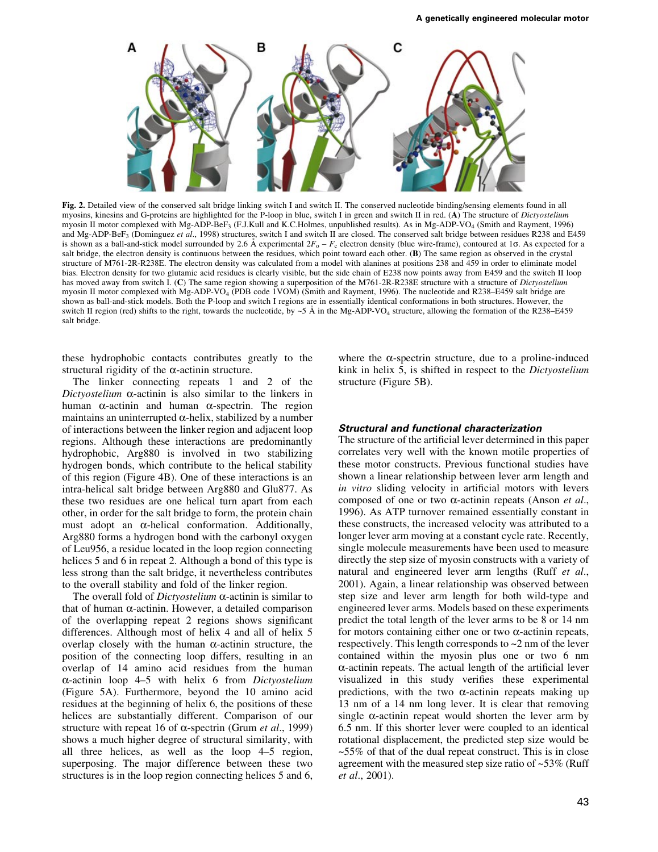

Fig. 2. Detailed view of the conserved salt bridge linking switch I and switch II. The conserved nucleotide binding/sensing elements found in all myosins, kinesins and G-proteins are highlighted for the P-loop in blue, switch I in green and switch II in red. (A) The structure of *Dictyostelium* myosin II motor complexed with Mg-ADP-BeF3 (F.J.Kull and K.C.Holmes, unpublished results). As in Mg-ADP-VO4 (Smith and Rayment, 1996) and Mg-ADP-BeF<sub>3</sub> (Dominguez et al., 1998) structures, switch I and switch II are closed. The conserved salt bridge between residues R238 and E459 is shown as a ball-and-stick model surrounded by 2.6 Å experimental  $2F_0 - F_c$  electron density (blue wire-frame), contoured at 1 $\sigma$ . As expected for a salt bridge, the electron density is continuous between the residues, which point toward each other. (B) The same region as observed in the crystal structure of M761-2R-R238E. The electron density was calculated from a model with alanines at positions 238 and 459 in order to eliminate model bias. Electron density for two glutamic acid residues is clearly visible, but the side chain of E238 now points away from E459 and the switch II loop has moved away from switch I. (C) The same region showing a superposition of the M761-2R-R238E structure with a structure of Dictyostelium myosin II motor complexed with Mg-ADP-VO<sub>4</sub> (PDB code 1VOM) (Smith and Rayment, 1996). The nucleotide and R238-E459 salt bridge are shown as ball-and-stick models. Both the P-loop and switch I regions are in essentially identical conformations in both structures. However, the switch II region (red) shifts to the right, towards the nucleotide, by ~5 Å in the Mg-ADP-VO<sub>4</sub> structure, allowing the formation of the R238-E459 salt bridge.

these hydrophobic contacts contributes greatly to the structural rigidity of the  $\alpha$ -actinin structure.

The linker connecting repeats 1 and 2 of the Dictyostelium  $\alpha$ -actinin is also similar to the linkers in human  $\alpha$ -actinin and human  $\alpha$ -spectrin. The region maintains an uninterrupted  $\alpha$ -helix, stabilized by a number of interactions between the linker region and adjacent loop regions. Although these interactions are predominantly hydrophobic, Arg880 is involved in two stabilizing hydrogen bonds, which contribute to the helical stability of this region (Figure 4B). One of these interactions is an intra-helical salt bridge between Arg880 and Glu877. As these two residues are one helical turn apart from each other, in order for the salt bridge to form, the protein chain must adopt an  $\alpha$ -helical conformation. Additionally, Arg880 forms a hydrogen bond with the carbonyl oxygen of Leu956, a residue located in the loop region connecting helices 5 and 6 in repeat 2. Although a bond of this type is less strong than the salt bridge, it nevertheless contributes to the overall stability and fold of the linker region.

The overall fold of *Dictyostelium*  $\alpha$ -actinin is similar to that of human  $\alpha$ -actinin. However, a detailed comparison of the overlapping repeat 2 regions shows significant differences. Although most of helix 4 and all of helix 5 overlap closely with the human  $\alpha$ -actinin structure, the position of the connecting loop differs, resulting in an overlap of 14 amino acid residues from the human  $\alpha$ -actinin loop 4–5 with helix 6 from Dictyostelium (Figure 5A). Furthermore, beyond the 10 amino acid residues at the beginning of helix 6, the positions of these helices are substantially different. Comparison of our structure with repeat 16 of  $\alpha$ -spectrin (Grum *et al.*, 1999) shows a much higher degree of structural similarity, with all three helices, as well as the loop  $4-5$  region, superposing. The major difference between these two structures is in the loop region connecting helices 5 and 6,

where the  $\alpha$ -spectrin structure, due to a proline-induced kink in helix 5, is shifted in respect to the Dictyostelium structure (Figure 5B).

### Structural and functional characterization

The structure of the artificial lever determined in this paper correlates very well with the known motile properties of these motor constructs. Previous functional studies have shown a linear relationship between lever arm length and in vitro sliding velocity in artificial motors with levers composed of one or two  $\alpha$ -actinin repeats (Anson *et al.*, 1996). As ATP turnover remained essentially constant in these constructs, the increased velocity was attributed to a longer lever arm moving at a constant cycle rate. Recently, single molecule measurements have been used to measure directly the step size of myosin constructs with a variety of natural and engineered lever arm lengths (Ruff et al., 2001). Again, a linear relationship was observed between step size and lever arm length for both wild-type and engineered lever arms. Models based on these experiments predict the total length of the lever arms to be 8 or 14 nm for motors containing either one or two  $\alpha$ -actinin repeats, respectively. This length corresponds to ~2 nm of the lever contained within the myosin plus one or two 6 nm  $\alpha$ -actinin repeats. The actual length of the artificial lever visualized in this study verifies these experimental predictions, with the two  $\alpha$ -actinin repeats making up 13 nm of a 14 nm long lever. It is clear that removing single  $\alpha$ -actinin repeat would shorten the lever arm by 6.5 nm. If this shorter lever were coupled to an identical rotational displacement, the predicted step size would be  $\sim$  55% of that of the dual repeat construct. This is in close agreement with the measured step size ratio of  $\sim$ 53% (Ruff et al., 2001).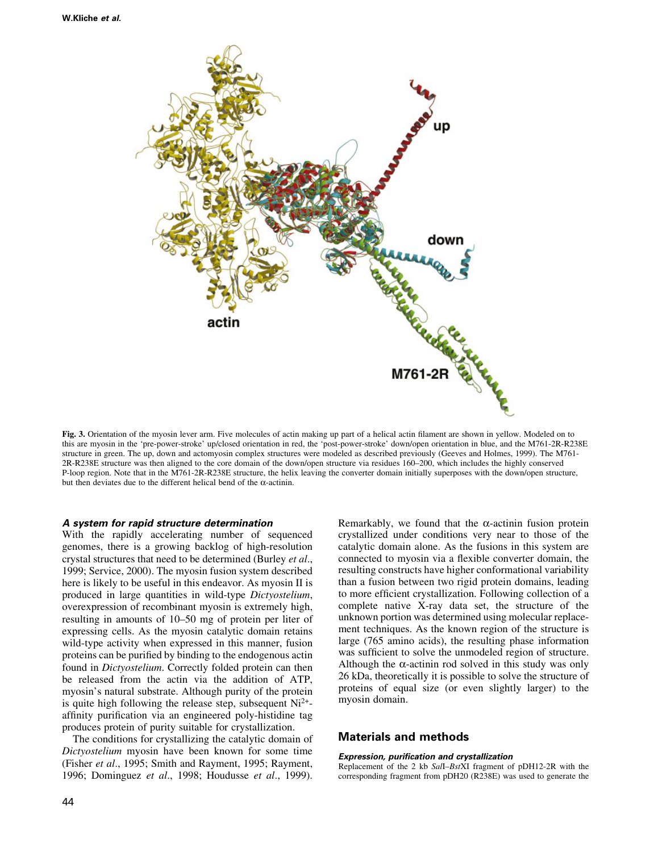

Fig. 3. Orientation of the myosin lever arm. Five molecules of actin making up part of a helical actin filament are shown in yellow. Modeled on to this are myosin in the `pre-power-stroke' up/closed orientation in red, the `post-power-stroke' down/open orientation in blue, and the M761-2R-R238E structure in green. The up, down and actomyosin complex structures were modeled as described previously (Geeves and Holmes, 1999). The M761- 2R-R238E structure was then aligned to the core domain of the down/open structure via residues 160-200, which includes the highly conserved P-loop region. Note that in the M761-2R-R238E structure, the helix leaving the converter domain initially superposes with the down/open structure, but then deviates due to the different helical bend of the  $\alpha$ -actinin.

#### A system for rapid structure determination

With the rapidly accelerating number of sequenced genomes, there is a growing backlog of high-resolution crystal structures that need to be determined (Burley et al., 1999; Service, 2000). The myosin fusion system described here is likely to be useful in this endeavor. As myosin II is produced in large quantities in wild-type Dictyostelium, overexpression of recombinant myosin is extremely high, resulting in amounts of 10–50 mg of protein per liter of expressing cells. As the myosin catalytic domain retains wild-type activity when expressed in this manner, fusion proteins can be purified by binding to the endogenous actin found in Dictyostelium. Correctly folded protein can then be released from the actin via the addition of ATP, myosin's natural substrate. Although purity of the protein is quite high following the release step, subsequent  $Ni<sup>2+</sup>$ affinity purification via an engineered poly-histidine tag produces protein of purity suitable for crystallization.

The conditions for crystallizing the catalytic domain of Dictyostelium myosin have been known for some time (Fisher et al., 1995; Smith and Rayment, 1995; Rayment, 1996; Dominguez et al., 1998; Houdusse et al., 1999).

Remarkably, we found that the  $\alpha$ -actinin fusion protein crystallized under conditions very near to those of the catalytic domain alone. As the fusions in this system are connected to myosin via a flexible converter domain, the resulting constructs have higher conformational variability than a fusion between two rigid protein domains, leading to more efficient crystallization. Following collection of a complete native X-ray data set, the structure of the unknown portion was determined using molecular replacement techniques. As the known region of the structure is large (765 amino acids), the resulting phase information was sufficient to solve the unmodeled region of structure. Although the  $\alpha$ -actinin rod solved in this study was only 26 kDa, theoretically it is possible to solve the structure of proteins of equal size (or even slightly larger) to the myosin domain.

## Materials and methods

#### Expression, purification and crystallization

Replacement of the 2 kb SalI-BstXI fragment of pDH12-2R with the corresponding fragment from pDH20 (R238E) was used to generate the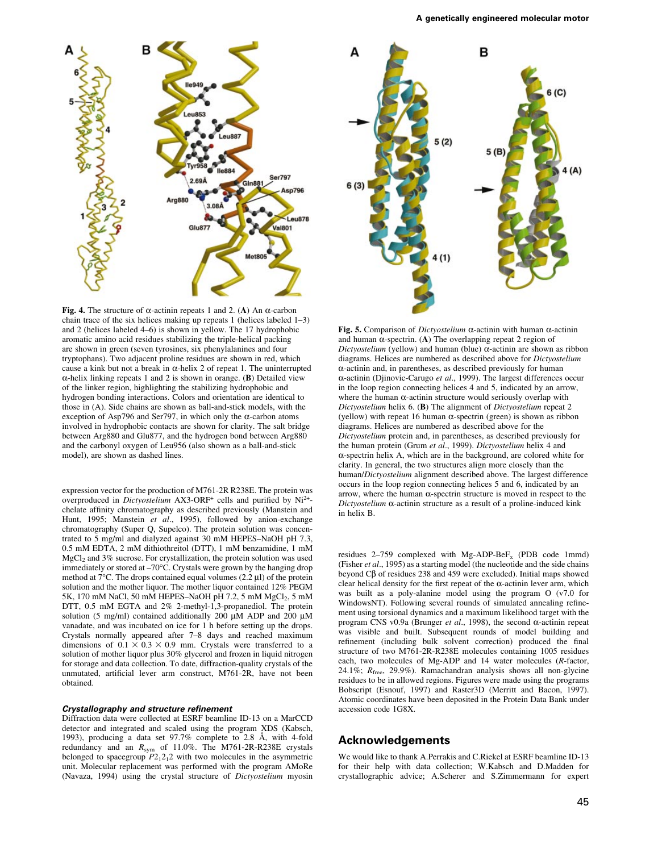



Fig. 4. The structure of  $\alpha$ -actinin repeats 1 and 2. (A) An  $\alpha$ -carbon chain trace of the six helices making up repeats 1 (helices labeled  $1-3$ ) and 2 (helices labeled  $4-6$ ) is shown in yellow. The 17 hydrophobic aromatic amino acid residues stabilizing the triple-helical packing are shown in green (seven tyrosines, six phenylalanines and four tryptophans). Two adjacent proline residues are shown in red, which cause a kink but not a break in  $\alpha$ -helix 2 of repeat 1. The uninterrupted  $\alpha$ -helix linking repeats 1 and 2 is shown in orange. (B) Detailed view of the linker region, highlighting the stabilizing hydrophobic and hydrogen bonding interactions. Colors and orientation are identical to those in (A). Side chains are shown as ball-and-stick models, with the exception of Asp796 and Ser797, in which only the  $\alpha$ -carbon atoms involved in hydrophobic contacts are shown for clarity. The salt bridge between Arg880 and Glu877, and the hydrogen bond between Arg880 and the carbonyl oxygen of Leu956 (also shown as a ball-and-stick model), are shown as dashed lines.

expression vector for the production of M761-2R R238E. The protein was overproduced in Dictyostelium AX3-ORF<sup>+</sup> cells and purified by  $Ni^{2+}$ chelate affinity chromatography as described previously (Manstein and Hunt, 1995; Manstein et al., 1995), followed by anion-exchange chromatography (Super Q, Supelco). The protein solution was concentrated to 5 mg/ml and dialyzed against 30 mM HEPES-NaOH pH 7.3, 0.5 mM EDTA, 2 mM dithiothreitol (DTT), 1 mM benzamidine, 1 mM  $MgCl<sub>2</sub>$  and 3% sucrose. For crystallization, the protein solution was used immediately or stored at  $-70^{\circ}$ C. Crystals were grown by the hanging drop method at  $7^{\circ}$ C. The drops contained equal volumes (2.2 µl) of the protein solution and the mother liquor. The mother liquor contained 12% PEGM 5K, 170 mM NaCl, 50 mM HEPES-NaOH pH 7.2, 5 mM  $MgCl<sub>2</sub>$ , 5 mM DTT, 0.5 mM EGTA and 2% 2-methyl-1,3-propanediol. The protein solution (5 mg/ml) contained additionally 200  $\mu$ M ADP and 200  $\mu$ M vanadate, and was incubated on ice for 1 h before setting up the drops. Crystals normally appeared after 7-8 days and reached maximum dimensions of  $0.1 \times 0.3 \times 0.9$  mm. Crystals were transferred to a solution of mother liquor plus 30% glycerol and frozen in liquid nitrogen for storage and data collection. To date, diffraction-quality crystals of the unmutated, artificial lever arm construct, M761-2R, have not been obtained.

#### Crystallography and structure refinement

Diffraction data were collected at ESRF beamline ID-13 on a MarCCD detector and integrated and scaled using the program XDS (Kabsch, 1993), producing a data set  $97.7\%$  complete to 2.8 Å, with 4-fold redundancy and an R<sub>sym</sub> of 11.0%. The M761-2R-R238E crystals belonged to spacegroup  $P2_12_12$  with two molecules in the asymmetric unit. Molecular replacement was performed with the program AMoRe (Navaza, 1994) using the crystal structure of Dictyostelium myosin

Fig. 5. Comparison of *Dictyostelium*  $\alpha$ -actinin with human  $\alpha$ -actinin and human  $\alpha$ -spectrin. (A) The overlapping repeat 2 region of Dictyostelium (yellow) and human (blue)  $\alpha$ -actinin are shown as ribbon diagrams. Helices are numbered as described above for Dictyostelium  $\alpha$ -actinin and, in parentheses, as described previously for human  $\alpha$ -actinin (Djinovic-Carugo *et al.*, 1999). The largest differences occur in the loop region connecting helices 4 and 5, indicated by an arrow, where the human  $\alpha$ -actinin structure would seriously overlap with Dictyostelium helix 6. (B) The alignment of Dictyostelium repeat 2 (yellow) with repeat 16 human  $\alpha$ -spectrin (green) is shown as ribbon diagrams. Helices are numbered as described above for the Dictyostelium protein and, in parentheses, as described previously for the human protein (Grum et al., 1999). Dictyostelium helix 4 and  $\alpha$ -spectrin helix A, which are in the background, are colored white for clarity. In general, the two structures align more closely than the human/Dictyostelium alignment described above. The largest difference occurs in the loop region connecting helices 5 and 6, indicated by an arrow, where the human  $\alpha$ -spectrin structure is moved in respect to the Dictyostelium  $\alpha$ -actinin structure as a result of a proline-induced kink in helix B.

residues  $2-759$  complexed with Mg-ADP-BeF<sub>x</sub> (PDB code 1mmd) (Fisher et al., 1995) as a starting model (the nucleotide and the side chains beyond C $\beta$  of residues 238 and 459 were excluded). Initial maps showed clear helical density for the first repeat of the  $\alpha$ -actinin lever arm, which was built as a poly-alanine model using the program O (v7.0 for WindowsNT). Following several rounds of simulated annealing refinement using torsional dynamics and a maximum likelihood target with the program CNS v0.9a (Brunger et al., 1998), the second  $\alpha$ -actinin repeat was visible and built. Subsequent rounds of model building and refinement (including bulk solvent correction) produced the final structure of two M761-2R-R238E molecules containing 1005 residues each, two molecules of Mg-ADP and 14 water molecules (R-factor, 24.1%;  $R_{\text{free}}$ , 29.9%). Ramachandran analysis shows all non-glycine residues to be in allowed regions. Figures were made using the programs Bobscript (Esnouf, 1997) and Raster3D (Merritt and Bacon, 1997). Atomic coordinates have been deposited in the Protein Data Bank under accession code 1G8X.

#### Acknowledgements

We would like to thank A.Perrakis and C.Riekel at ESRF beamline ID-13 for their help with data collection; W.Kabsch and D.Madden for crystallographic advice; A.Scherer and S.Zimmermann for expert